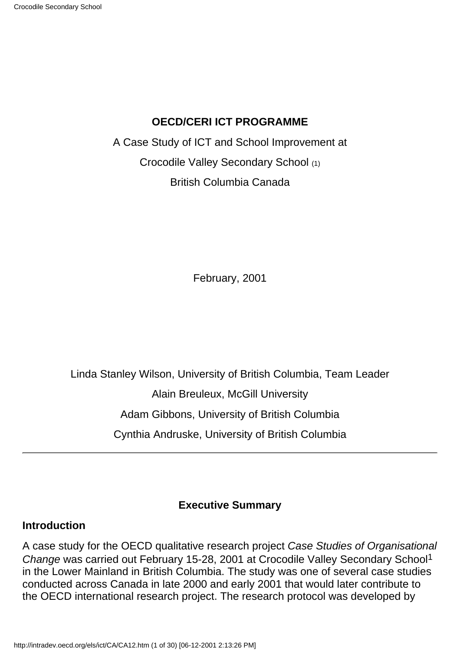#### **OECD/CERI ICT PROGRAMME**

A Case Study of ICT and School Improvement at Crocodile Valley Secondary School (1) British Columbia Canada

February, 2001

Linda Stanley Wilson, University of British Columbia, Team Leader Alain Breuleux, McGill University Adam Gibbons, University of British Columbia Cynthia Andruske, University of British Columbia

## **Executive Summary**

#### **Introduction**

A case study for the OECD qualitative research project *Case Studies of Organisational Change* was carried out February 15-28, 2001 at Crocodile Valley Secondary School1 in the Lower Mainland in British Columbia. The study was one of several case studies conducted across Canada in late 2000 and early 2001 that would later contribute to the OECD international research project. The research protocol was developed by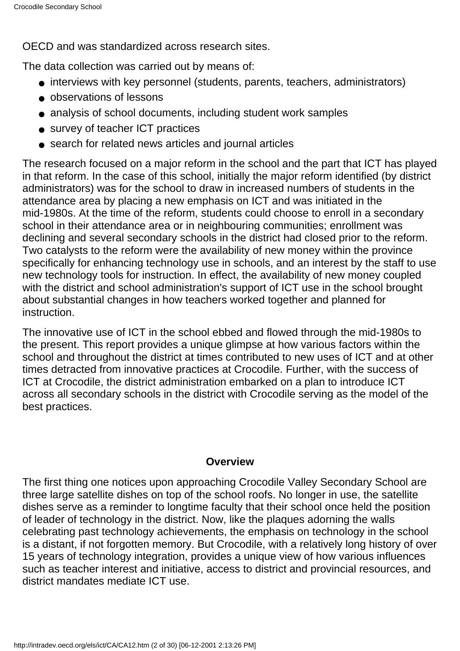OECD and was standardized across research sites.

The data collection was carried out by means of:

- interviews with key personnel (students, parents, teachers, administrators)
- observations of lessons
- analysis of school documents, including student work samples
- survey of teacher ICT practices
- search for related news articles and journal articles

The research focused on a major reform in the school and the part that ICT has played in that reform. In the case of this school, initially the major reform identified (by district administrators) was for the school to draw in increased numbers of students in the attendance area by placing a new emphasis on ICT and was initiated in the mid-1980s. At the time of the reform, students could choose to enroll in a secondary school in their attendance area or in neighbouring communities; enrollment was declining and several secondary schools in the district had closed prior to the reform. Two catalysts to the reform were the availability of new money within the province specifically for enhancing technology use in schools, and an interest by the staff to use new technology tools for instruction. In effect, the availability of new money coupled with the district and school administration's support of ICT use in the school brought about substantial changes in how teachers worked together and planned for instruction.

The innovative use of ICT in the school ebbed and flowed through the mid-1980s to the present. This report provides a unique glimpse at how various factors within the school and throughout the district at times contributed to new uses of ICT and at other times detracted from innovative practices at Crocodile. Further, with the success of ICT at Crocodile, the district administration embarked on a plan to introduce ICT across all secondary schools in the district with Crocodile serving as the model of the best practices.

## **Overview**

The first thing one notices upon approaching Crocodile Valley Secondary School are three large satellite dishes on top of the school roofs. No longer in use, the satellite dishes serve as a reminder to longtime faculty that their school once held the position of leader of technology in the district. Now, like the plaques adorning the walls celebrating past technology achievements, the emphasis on technology in the school is a distant, if not forgotten memory. But Crocodile, with a relatively long history of over 15 years of technology integration, provides a unique view of how various influences such as teacher interest and initiative, access to district and provincial resources, and district mandates mediate ICT use.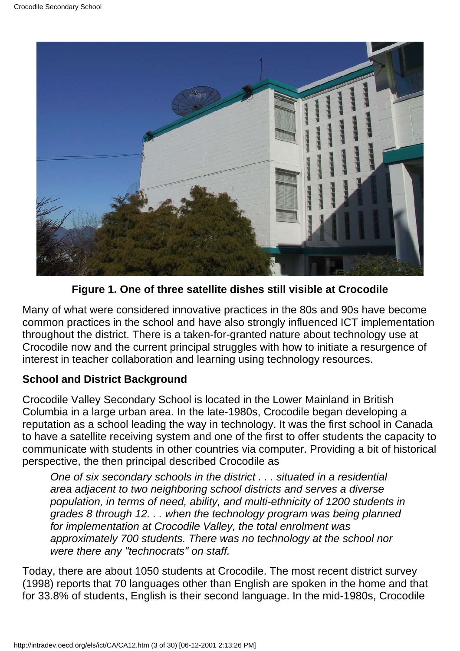

**Figure 1. One of three satellite dishes still visible at Crocodile**

Many of what were considered innovative practices in the 80s and 90s have become common practices in the school and have also strongly influenced ICT implementation throughout the district. There is a taken-for-granted nature about technology use at Crocodile now and the current principal struggles with how to initiate a resurgence of interest in teacher collaboration and learning using technology resources.

# **School and District Background**

Crocodile Valley Secondary School is located in the Lower Mainland in British Columbia in a large urban area. In the late-1980s, Crocodile began developing a reputation as a school leading the way in technology. It was the first school in Canada to have a satellite receiving system and one of the first to offer students the capacity to communicate with students in other countries via computer. Providing a bit of historical perspective, the then principal described Crocodile as

*One of six secondary schools in the district . . . situated in a residential area adjacent to two neighboring school districts and serves a diverse population, in terms of need, ability, and multi-ethnicity of 1200 students in grades 8 through 12. . . when the technology program was being planned for implementation at Crocodile Valley, the total enrolment was approximately 700 students. There was no technology at the school nor were there any "technocrats" on staff.*

Today, there are about 1050 students at Crocodile. The most recent district survey (1998) reports that 70 languages other than English are spoken in the home and that for 33.8% of students, English is their second language. In the mid-1980s, Crocodile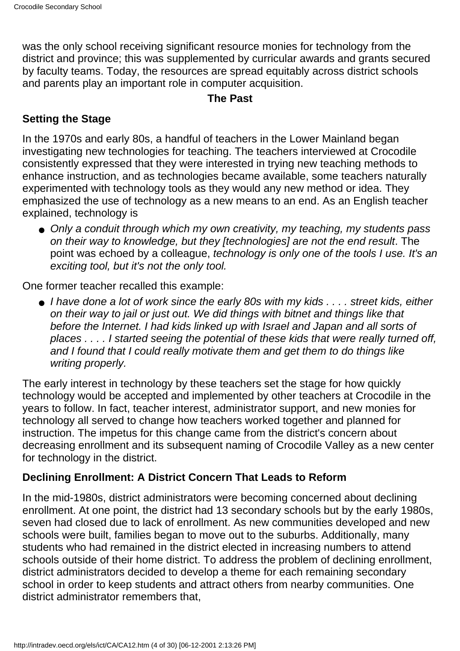was the only school receiving significant resource monies for technology from the district and province; this was supplemented by curricular awards and grants secured by faculty teams. Today, the resources are spread equitably across district schools and parents play an important role in computer acquisition.

## **The Past**

# **Setting the Stage**

In the 1970s and early 80s, a handful of teachers in the Lower Mainland began investigating new technologies for teaching. The teachers interviewed at Crocodile consistently expressed that they were interested in trying new teaching methods to enhance instruction, and as technologies became available, some teachers naturally experimented with technology tools as they would any new method or idea. They emphasized the use of technology as a new means to an end. As an English teacher explained, technology is

● Only a conduit through which my own creativity, my teaching, my students pass *on their way to knowledge, but they [technologies] are not the end result*. The point was echoed by a colleague, *technology is only one of the tools I use. It's an exciting tool, but it's not the only tool.*

One former teacher recalled this example:

● I have done a lot of work since the early 80s with my kids . . . . street kids, either *on their way to jail or just out. We did things with bitnet and things like that before the Internet. I had kids linked up with Israel and Japan and all sorts of places . . . . I started seeing the potential of these kids that were really turned off, and I found that I could really motivate them and get them to do things like writing properly.*

The early interest in technology by these teachers set the stage for how quickly technology would be accepted and implemented by other teachers at Crocodile in the years to follow. In fact, teacher interest, administrator support, and new monies for technology all served to change how teachers worked together and planned for instruction. The impetus for this change came from the district's concern about decreasing enrollment and its subsequent naming of Crocodile Valley as a new center for technology in the district.

# **Declining Enrollment: A District Concern That Leads to Reform**

In the mid-1980s, district administrators were becoming concerned about declining enrollment. At one point, the district had 13 secondary schools but by the early 1980s, seven had closed due to lack of enrollment. As new communities developed and new schools were built, families began to move out to the suburbs. Additionally, many students who had remained in the district elected in increasing numbers to attend schools outside of their home district. To address the problem of declining enrollment, district administrators decided to develop a theme for each remaining secondary school in order to keep students and attract others from nearby communities. One district administrator remembers that.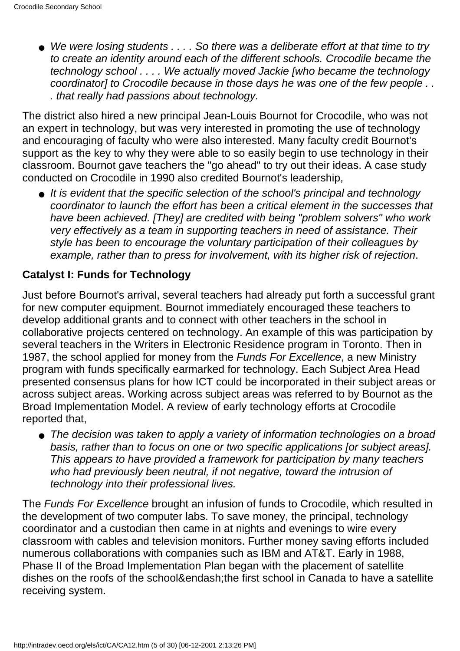● We were losing students . . . . So there was a deliberate effort at that time to try *to create an identity around each of the different schools. Crocodile became the technology school . . . . We actually moved Jackie [who became the technology coordinator] to Crocodile because in those days he was one of the few people . . . that really had passions about technology.*

The district also hired a new principal Jean-Louis Bournot for Crocodile, who was not an expert in technology, but was very interested in promoting the use of technology and encouraging of faculty who were also interested. Many faculty credit Bournot's support as the key to why they were able to so easily begin to use technology in their classroom. Bournot gave teachers the "go ahead" to try out their ideas. A case study conducted on Crocodile in 1990 also credited Bournot's leadership,

● It is evident that the specific selection of the school's principal and technology *coordinator to launch the effort has been a critical element in the successes that have been achieved. [They] are credited with being "problem solvers" who work very effectively as a team in supporting teachers in need of assistance. Their style has been to encourage the voluntary participation of their colleagues by example, rather than to press for involvement, with its higher risk of rejection*.

## **Catalyst I: Funds for Technology**

Just before Bournot's arrival, several teachers had already put forth a successful grant for new computer equipment. Bournot immediately encouraged these teachers to develop additional grants and to connect with other teachers in the school in collaborative projects centered on technology. An example of this was participation by several teachers in the Writers in Electronic Residence program in Toronto. Then in 1987, the school applied for money from the *Funds For Excellence*, a new Ministry program with funds specifically earmarked for technology. Each Subject Area Head presented consensus plans for how ICT could be incorporated in their subject areas or across subject areas. Working across subject areas was referred to by Bournot as the Broad Implementation Model. A review of early technology efforts at Crocodile reported that,

● The decision was taken to apply a variety of information technologies on a broad *basis, rather than to focus on one or two specific applications [or subject areas]. This appears to have provided a framework for participation by many teachers who had previously been neutral, if not negative, toward the intrusion of technology into their professional lives.*

The *Funds For Excellence* brought an infusion of funds to Crocodile, which resulted in the development of two computer labs. To save money, the principal, technology coordinator and a custodian then came in at nights and evenings to wire every classroom with cables and television monitors. Further money saving efforts included numerous collaborations with companies such as IBM and AT&T. Early in 1988, Phase II of the Broad Implementation Plan began with the placement of satellite dishes on the roofs of the school&endash;the first school in Canada to have a satellite receiving system.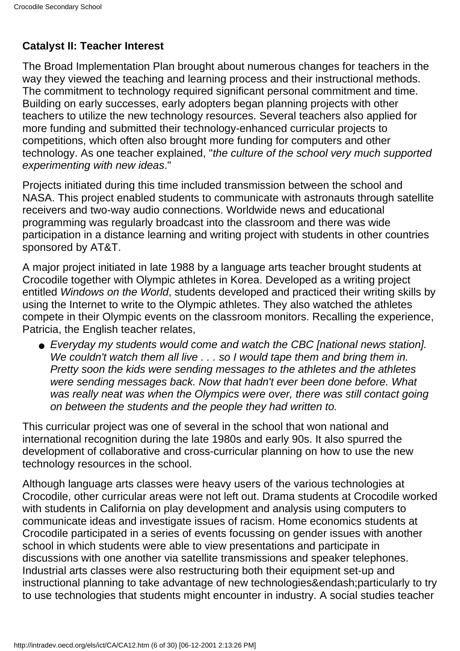# **Catalyst II: Teacher Interest**

The Broad Implementation Plan brought about numerous changes for teachers in the way they viewed the teaching and learning process and their instructional methods. The commitment to technology required significant personal commitment and time. Building on early successes, early adopters began planning projects with other teachers to utilize the new technology resources. Several teachers also applied for more funding and submitted their technology-enhanced curricular projects to competitions, which often also brought more funding for computers and other technology. As one teacher explained, "*the culture of the school very much supported experimenting with new ideas*."

Projects initiated during this time included transmission between the school and NASA. This project enabled students to communicate with astronauts through satellite receivers and two-way audio connections. Worldwide news and educational programming was regularly broadcast into the classroom and there was wide participation in a distance learning and writing project with students in other countries sponsored by AT&T.

A major project initiated in late 1988 by a language arts teacher brought students at Crocodile together with Olympic athletes in Korea. Developed as a writing project entitled *Windows on the World*, students developed and practiced their writing skills by using the Internet to write to the Olympic athletes. They also watched the athletes compete in their Olympic events on the classroom monitors. Recalling the experience, Patricia, the English teacher relates,

● Everyday my students would come and watch the CBC [national news station]. *We couldn't watch them all live . . . so I would tape them and bring them in. Pretty soon the kids were sending messages to the athletes and the athletes were sending messages back. Now that hadn't ever been done before. What was really neat was when the Olympics were over, there was still contact going on between the students and the people they had written to.*

This curricular project was one of several in the school that won national and international recognition during the late 1980s and early 90s. It also spurred the development of collaborative and cross-curricular planning on how to use the new technology resources in the school.

Although language arts classes were heavy users of the various technologies at Crocodile, other curricular areas were not left out. Drama students at Crocodile worked with students in California on play development and analysis using computers to communicate ideas and investigate issues of racism. Home economics students at Crocodile participated in a series of events focussing on gender issues with another school in which students were able to view presentations and participate in discussions with one another via satellite transmissions and speaker telephones. Industrial arts classes were also restructuring both their equipment set-up and instructional planning to take advantage of new technologies&endash;particularly to try to use technologies that students might encounter in industry. A social studies teacher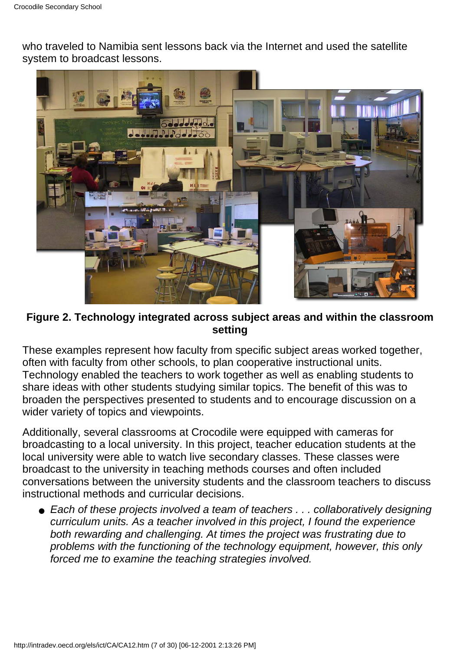who traveled to Namibia sent lessons back via the Internet and used the satellite system to broadcast lessons.



#### **Figure 2. Technology integrated across subject areas and within the classroom setting**

These examples represent how faculty from specific subject areas worked together, often with faculty from other schools, to plan cooperative instructional units. Technology enabled the teachers to work together as well as enabling students to share ideas with other students studying similar topics. The benefit of this was to broaden the perspectives presented to students and to encourage discussion on a wider variety of topics and viewpoints.

Additionally, several classrooms at Crocodile were equipped with cameras for broadcasting to a local university. In this project, teacher education students at the local university were able to watch live secondary classes. These classes were broadcast to the university in teaching methods courses and often included conversations between the university students and the classroom teachers to discuss instructional methods and curricular decisions.

● Each of these projects involved a team of teachers . . . collaboratively designing *curriculum units. As a teacher involved in this project, I found the experience both rewarding and challenging. At times the project was frustrating due to problems with the functioning of the technology equipment, however, this only forced me to examine the teaching strategies involved.*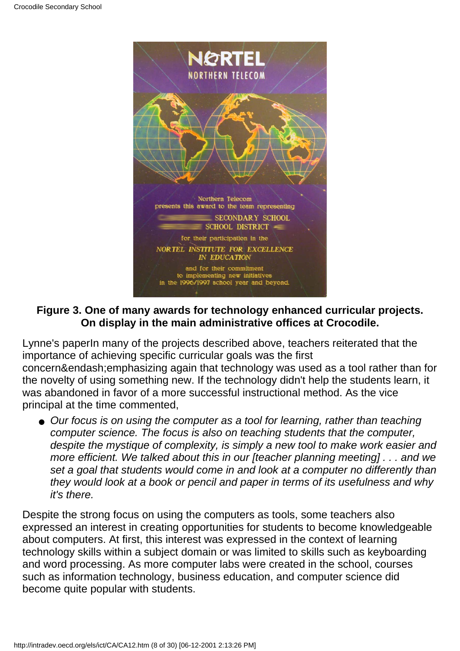

## **Figure 3. One of many awards for technology enhanced curricular projects. On display in the main administrative offices at Crocodile.**

Lynne's paperIn many of the projects described above, teachers reiterated that the importance of achieving specific curricular goals was the first concern&endash;emphasizing again that technology was used as a tool rather than for the novelty of using something new. If the technology didn't help the students learn, it was abandoned in favor of a more successful instructional method. As the vice principal at the time commented,

● Our focus is on using the computer as a tool for learning, rather than teaching *computer science. The focus is also on teaching students that the computer, despite the mystique of complexity, is simply a new tool to make work easier and more efficient. We talked about this in our [teacher planning meeting] . . . and we set a goal that students would come in and look at a computer no differently than they would look at a book or pencil and paper in terms of its usefulness and why it's there.*

Despite the strong focus on using the computers as tools, some teachers also expressed an interest in creating opportunities for students to become knowledgeable about computers. At first, this interest was expressed in the context of learning technology skills within a subject domain or was limited to skills such as keyboarding and word processing. As more computer labs were created in the school, courses such as information technology, business education, and computer science did become quite popular with students.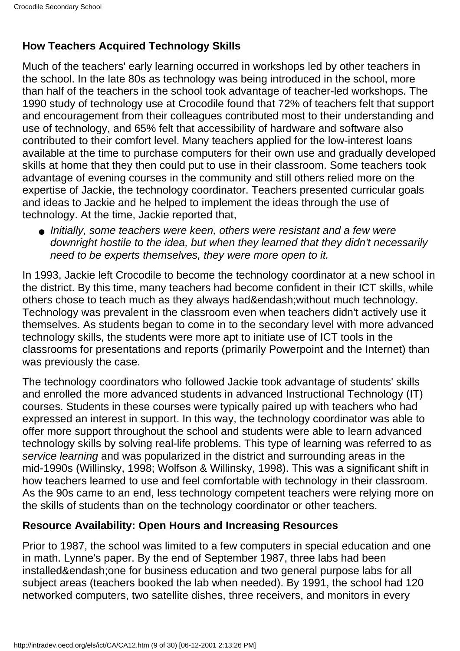# **How Teachers Acquired Technology Skills**

Much of the teachers' early learning occurred in workshops led by other teachers in the school. In the late 80s as technology was being introduced in the school, more than half of the teachers in the school took advantage of teacher-led workshops. The 1990 study of technology use at Crocodile found that 72% of teachers felt that support and encouragement from their colleagues contributed most to their understanding and use of technology, and 65% felt that accessibility of hardware and software also contributed to their comfort level. Many teachers applied for the low-interest loans available at the time to purchase computers for their own use and gradually developed skills at home that they then could put to use in their classroom. Some teachers took advantage of evening courses in the community and still others relied more on the expertise of Jackie, the technology coordinator. Teachers presented curricular goals and ideas to Jackie and he helped to implement the ideas through the use of technology. At the time, Jackie reported that,

● Initially, some teachers were keen, others were resistant and a few were *downright hostile to the idea, but when they learned that they didn't necessarily need to be experts themselves, they were more open to it.*

In 1993, Jackie left Crocodile to become the technology coordinator at a new school in the district. By this time, many teachers had become confident in their ICT skills, while others chose to teach much as they always had&endash;without much technology. Technology was prevalent in the classroom even when teachers didn't actively use it themselves. As students began to come in to the secondary level with more advanced technology skills, the students were more apt to initiate use of ICT tools in the classrooms for presentations and reports (primarily Powerpoint and the Internet) than was previously the case.

The technology coordinators who followed Jackie took advantage of students' skills and enrolled the more advanced students in advanced Instructional Technology (IT) courses. Students in these courses were typically paired up with teachers who had expressed an interest in support. In this way, the technology coordinator was able to offer more support throughout the school and students were able to learn advanced technology skills by solving real-life problems. This type of learning was referred to as *service learning* and was popularized in the district and surrounding areas in the mid-1990s (Willinsky, 1998; Wolfson & Willinsky, 1998). This was a significant shift in how teachers learned to use and feel comfortable with technology in their classroom. As the 90s came to an end, less technology competent teachers were relying more on the skills of students than on the technology coordinator or other teachers.

## **Resource Availability: Open Hours and Increasing Resources**

Prior to 1987, the school was limited to a few computers in special education and one in math. Lynne's paper. By the end of September 1987, three labs had been installed&endash;one for business education and two general purpose labs for all subject areas (teachers booked the lab when needed). By 1991, the school had 120 networked computers, two satellite dishes, three receivers, and monitors in every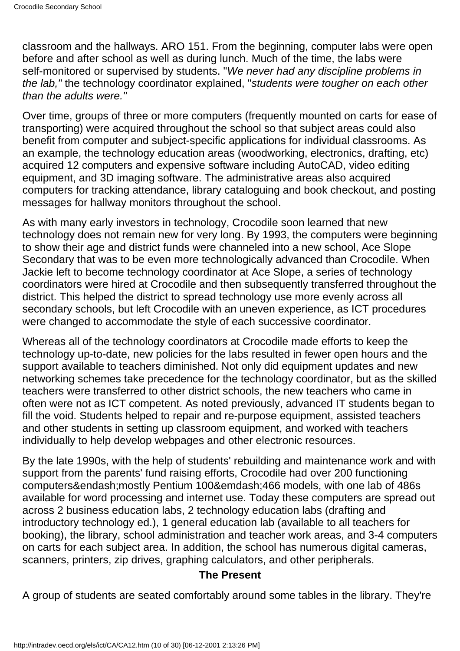classroom and the hallways. ARO 151. From the beginning, computer labs were open before and after school as well as during lunch. Much of the time, the labs were self-monitored or supervised by students. "*We never had any discipline problems in the lab,"* the technology coordinator explained, "*students were tougher on each other than the adults were."*

Over time, groups of three or more computers (frequently mounted on carts for ease of transporting) were acquired throughout the school so that subject areas could also benefit from computer and subject-specific applications for individual classrooms. As an example, the technology education areas (woodworking, electronics, drafting, etc) acquired 12 computers and expensive software including AutoCAD, video editing equipment, and 3D imaging software. The administrative areas also acquired computers for tracking attendance, library cataloguing and book checkout, and posting messages for hallway monitors throughout the school.

As with many early investors in technology, Crocodile soon learned that new technology does not remain new for very long. By 1993, the computers were beginning to show their age and district funds were channeled into a new school, Ace Slope Secondary that was to be even more technologically advanced than Crocodile. When Jackie left to become technology coordinator at Ace Slope, a series of technology coordinators were hired at Crocodile and then subsequently transferred throughout the district. This helped the district to spread technology use more evenly across all secondary schools, but left Crocodile with an uneven experience, as ICT procedures were changed to accommodate the style of each successive coordinator.

Whereas all of the technology coordinators at Crocodile made efforts to keep the technology up-to-date, new policies for the labs resulted in fewer open hours and the support available to teachers diminished. Not only did equipment updates and new networking schemes take precedence for the technology coordinator, but as the skilled teachers were transferred to other district schools, the new teachers who came in often were not as ICT competent. As noted previously, advanced IT students began to fill the void. Students helped to repair and re-purpose equipment, assisted teachers and other students in setting up classroom equipment, and worked with teachers individually to help develop webpages and other electronic resources.

By the late 1990s, with the help of students' rebuilding and maintenance work and with support from the parents' fund raising efforts, Crocodile had over 200 functioning computers&endash;mostly Pentium 100&emdash;466 models, with one lab of 486s available for word processing and internet use. Today these computers are spread out across 2 business education labs, 2 technology education labs (drafting and introductory technology ed.), 1 general education lab (available to all teachers for booking), the library, school administration and teacher work areas, and 3-4 computers on carts for each subject area. In addition, the school has numerous digital cameras, scanners, printers, zip drives, graphing calculators, and other peripherals.

#### **The Present**

A group of students are seated comfortably around some tables in the library. They're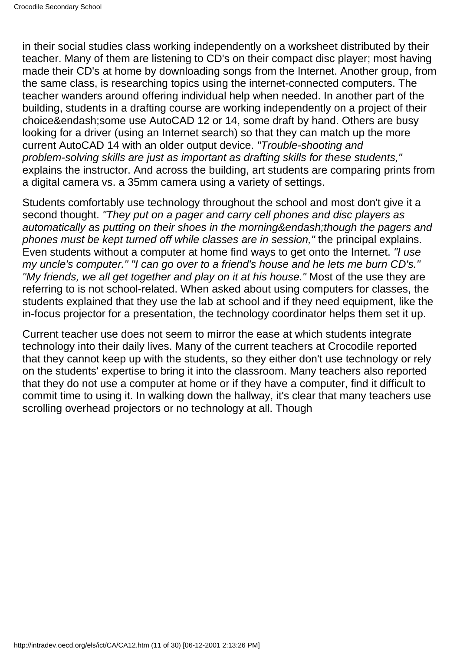in their social studies class working independently on a worksheet distributed by their teacher. Many of them are listening to CD's on their compact disc player; most having made their CD's at home by downloading songs from the Internet. Another group, from the same class, is researching topics using the internet-connected computers. The teacher wanders around offering individual help when needed. In another part of the building, students in a drafting course are working independently on a project of their choice&endash;some use AutoCAD 12 or 14, some draft by hand. Others are busy looking for a driver (using an Internet search) so that they can match up the more current AutoCAD 14 with an older output device. *"Trouble-shooting and problem-solving skills are just as important as drafting skills for these students,"* explains the instructor. And across the building, art students are comparing prints from a digital camera vs. a 35mm camera using a variety of settings.

Students comfortably use technology throughout the school and most don't give it a second thought. *"They put on a pager and carry cell phones and disc players as automatically as putting on their shoes in the morning&endash;though the pagers and phones must be kept turned off while classes are in session,"* the principal explains. Even students without a computer at home find ways to get onto the Internet. *"I use my uncle's computer." "I can go over to a friend's house and he lets me burn CD's." "My friends, we all get together and play on it at his house."* Most of the use they are referring to is not school-related. When asked about using computers for classes, the students explained that they use the lab at school and if they need equipment, like the in-focus projector for a presentation, the technology coordinator helps them set it up.

Current teacher use does not seem to mirror the ease at which students integrate technology into their daily lives. Many of the current teachers at Crocodile reported that they cannot keep up with the students, so they either don't use technology or rely on the students' expertise to bring it into the classroom. Many teachers also reported that they do not use a computer at home or if they have a computer, find it difficult to commit time to using it. In walking down the hallway, it's clear that many teachers use scrolling overhead projectors or no technology at all. Though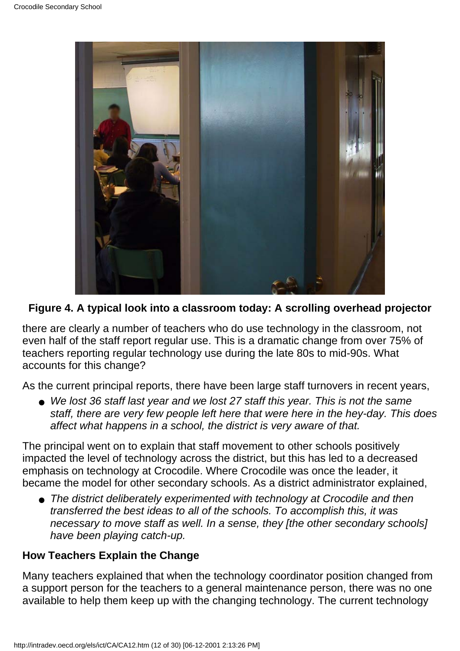

**Figure 4. A typical look into a classroom today: A scrolling overhead projector**

there are clearly a number of teachers who do use technology in the classroom, not even half of the staff report regular use. This is a dramatic change from over 75% of teachers reporting regular technology use during the late 80s to mid-90s. What accounts for this change?

As the current principal reports, there have been large staff turnovers in recent years,

● We lost 36 staff last year and we lost 27 staff this year. This is not the same *staff, there are very few people left here that were here in the hey-day. This does affect what happens in a school, the district is very aware of that.*

The principal went on to explain that staff movement to other schools positively impacted the level of technology across the district, but this has led to a decreased emphasis on technology at Crocodile. Where Crocodile was once the leader, it became the model for other secondary schools. As a district administrator explained,

● The district deliberately experimented with technology at Crocodile and then *transferred the best ideas to all of the schools. To accomplish this, it was necessary to move staff as well. In a sense, they [the other secondary schools] have been playing catch-up.*

# **How Teachers Explain the Change**

Many teachers explained that when the technology coordinator position changed from a support person for the teachers to a general maintenance person, there was no one available to help them keep up with the changing technology. The current technology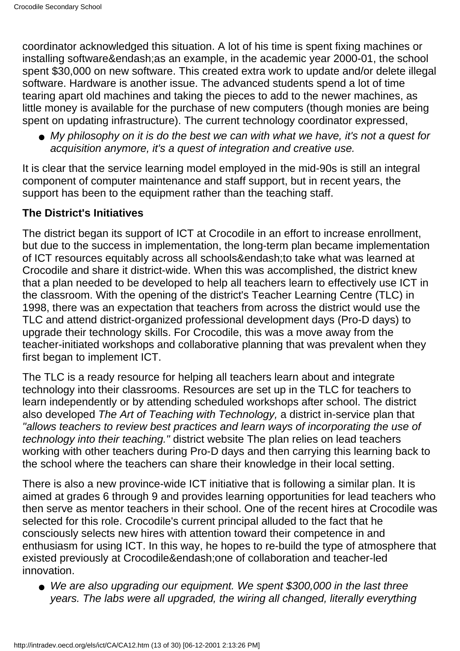coordinator acknowledged this situation. A lot of his time is spent fixing machines or installing software&endash;as an example, in the academic year 2000-01, the school spent \$30,000 on new software. This created extra work to update and/or delete illegal software. Hardware is another issue. The advanced students spend a lot of time tearing apart old machines and taking the pieces to add to the newer machines, as little money is available for the purchase of new computers (though monies are being spent on updating infrastructure). The current technology coordinator expressed,

● My philosophy on it is do the best we can with what we have, it's not a quest for *acquisition anymore, it's a quest of integration and creative use.*

It is clear that the service learning model employed in the mid-90s is still an integral component of computer maintenance and staff support, but in recent years, the support has been to the equipment rather than the teaching staff.

## **The District's Initiatives**

The district began its support of ICT at Crocodile in an effort to increase enrollment, but due to the success in implementation, the long-term plan became implementation of ICT resources equitably across all schools&endash;to take what was learned at Crocodile and share it district-wide. When this was accomplished, the district knew that a plan needed to be developed to help all teachers learn to effectively use ICT in the classroom. With the opening of the district's Teacher Learning Centre (TLC) in 1998, there was an expectation that teachers from across the district would use the TLC and attend district-organized professional development days (Pro-D days) to upgrade their technology skills. For Crocodile, this was a move away from the teacher-initiated workshops and collaborative planning that was prevalent when they first began to implement ICT.

The TLC is a ready resource for helping all teachers learn about and integrate technology into their classrooms. Resources are set up in the TLC for teachers to learn independently or by attending scheduled workshops after school. The district also developed *The Art of Teaching with Technology,* a district in-service plan that *"allows teachers to review best practices and learn ways of incorporating the use of technology into their teaching."* district website The plan relies on lead teachers working with other teachers during Pro-D days and then carrying this learning back to the school where the teachers can share their knowledge in their local setting.

There is also a new province-wide ICT initiative that is following a similar plan. It is aimed at grades 6 through 9 and provides learning opportunities for lead teachers who then serve as mentor teachers in their school. One of the recent hires at Crocodile was selected for this role. Crocodile's current principal alluded to the fact that he consciously selects new hires with attention toward their competence in and enthusiasm for using ICT. In this way, he hopes to re-build the type of atmosphere that existed previously at Crocodile&endash;one of collaboration and teacher-led innovation.

● We are also upgrading our equipment. We spent \$300,000 in the last three *years. The labs were all upgraded, the wiring all changed, literally everything*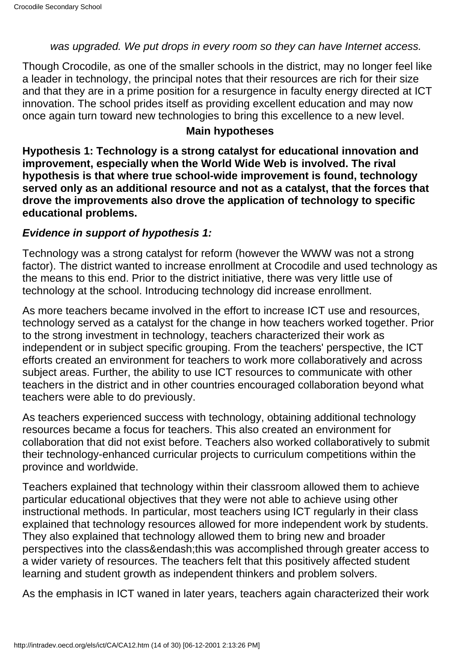#### *was upgraded. We put drops in every room so they can have Internet access.*

Though Crocodile, as one of the smaller schools in the district, may no longer feel like a leader in technology, the principal notes that their resources are rich for their size and that they are in a prime position for a resurgence in faculty energy directed at ICT innovation. The school prides itself as providing excellent education and may now once again turn toward new technologies to bring this excellence to a new level.

#### **Main hypotheses**

**Hypothesis 1: Technology is a strong catalyst for educational innovation and improvement, especially when the World Wide Web is involved. The rival hypothesis is that where true school-wide improvement is found, technology served only as an additional resource and not as a catalyst, that the forces that drove the improvements also drove the application of technology to specific educational problems.**

#### *Evidence in support of hypothesis 1:*

Technology was a strong catalyst for reform (however the WWW was not a strong factor). The district wanted to increase enrollment at Crocodile and used technology as the means to this end. Prior to the district initiative, there was very little use of technology at the school. Introducing technology did increase enrollment.

As more teachers became involved in the effort to increase ICT use and resources, technology served as a catalyst for the change in how teachers worked together. Prior to the strong investment in technology, teachers characterized their work as independent or in subject specific grouping. From the teachers' perspective, the ICT efforts created an environment for teachers to work more collaboratively and across subject areas. Further, the ability to use ICT resources to communicate with other teachers in the district and in other countries encouraged collaboration beyond what teachers were able to do previously.

As teachers experienced success with technology, obtaining additional technology resources became a focus for teachers. This also created an environment for collaboration that did not exist before. Teachers also worked collaboratively to submit their technology-enhanced curricular projects to curriculum competitions within the province and worldwide.

Teachers explained that technology within their classroom allowed them to achieve particular educational objectives that they were not able to achieve using other instructional methods. In particular, most teachers using ICT regularly in their class explained that technology resources allowed for more independent work by students. They also explained that technology allowed them to bring new and broader perspectives into the class&endash;this was accomplished through greater access to a wider variety of resources. The teachers felt that this positively affected student learning and student growth as independent thinkers and problem solvers.

As the emphasis in ICT waned in later years, teachers again characterized their work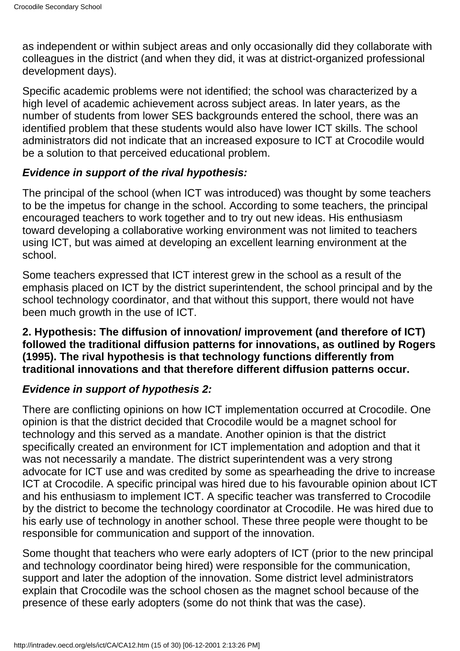as independent or within subject areas and only occasionally did they collaborate with colleagues in the district (and when they did, it was at district-organized professional development days).

Specific academic problems were not identified; the school was characterized by a high level of academic achievement across subject areas. In later years, as the number of students from lower SES backgrounds entered the school, there was an identified problem that these students would also have lower ICT skills. The school administrators did not indicate that an increased exposure to ICT at Crocodile would be a solution to that perceived educational problem.

#### *Evidence in support of the rival hypothesis:*

The principal of the school (when ICT was introduced) was thought by some teachers to be the impetus for change in the school. According to some teachers, the principal encouraged teachers to work together and to try out new ideas. His enthusiasm toward developing a collaborative working environment was not limited to teachers using ICT, but was aimed at developing an excellent learning environment at the school.

Some teachers expressed that ICT interest grew in the school as a result of the emphasis placed on ICT by the district superintendent, the school principal and by the school technology coordinator, and that without this support, there would not have been much growth in the use of ICT.

#### **2. Hypothesis: The diffusion of innovation/ improvement (and therefore of ICT) followed the traditional diffusion patterns for innovations, as outlined by Rogers (1995). The rival hypothesis is that technology functions differently from traditional innovations and that therefore different diffusion patterns occur.**

## *Evidence in support of hypothesis 2:*

There are conflicting opinions on how ICT implementation occurred at Crocodile. One opinion is that the district decided that Crocodile would be a magnet school for technology and this served as a mandate. Another opinion is that the district specifically created an environment for ICT implementation and adoption and that it was not necessarily a mandate. The district superintendent was a very strong advocate for ICT use and was credited by some as spearheading the drive to increase ICT at Crocodile. A specific principal was hired due to his favourable opinion about ICT and his enthusiasm to implement ICT. A specific teacher was transferred to Crocodile by the district to become the technology coordinator at Crocodile. He was hired due to his early use of technology in another school. These three people were thought to be responsible for communication and support of the innovation.

Some thought that teachers who were early adopters of ICT (prior to the new principal and technology coordinator being hired) were responsible for the communication, support and later the adoption of the innovation. Some district level administrators explain that Crocodile was the school chosen as the magnet school because of the presence of these early adopters (some do not think that was the case).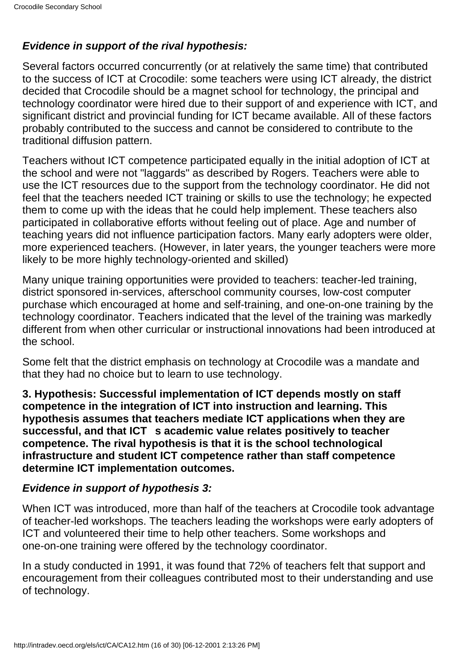# *Evidence in support of the rival hypothesis:*

Several factors occurred concurrently (or at relatively the same time) that contributed to the success of ICT at Crocodile: some teachers were using ICT already, the district decided that Crocodile should be a magnet school for technology, the principal and technology coordinator were hired due to their support of and experience with ICT, and significant district and provincial funding for ICT became available. All of these factors probably contributed to the success and cannot be considered to contribute to the traditional diffusion pattern.

Teachers without ICT competence participated equally in the initial adoption of ICT at the school and were not "laggards" as described by Rogers. Teachers were able to use the ICT resources due to the support from the technology coordinator. He did not feel that the teachers needed ICT training or skills to use the technology; he expected them to come up with the ideas that he could help implement. These teachers also participated in collaborative efforts without feeling out of place. Age and number of teaching years did not influence participation factors. Many early adopters were older, more experienced teachers. (However, in later years, the younger teachers were more likely to be more highly technology-oriented and skilled)

Many unique training opportunities were provided to teachers: teacher-led training, district sponsored in-services, afterschool community courses, low-cost computer purchase which encouraged at home and self-training, and one-on-one training by the technology coordinator. Teachers indicated that the level of the training was markedly different from when other curricular or instructional innovations had been introduced at the school.

Some felt that the district emphasis on technology at Crocodile was a mandate and that they had no choice but to learn to use technology.

**3. Hypothesis: Successful implementation of ICT depends mostly on staff competence in the integration of ICT into instruction and learning. This hypothesis assumes that teachers mediate ICT applications when they are** successful, and that ICT s academic value relates positively to teacher **competence. The rival hypothesis is that it is the school technological infrastructure and student ICT competence rather than staff competence determine ICT implementation outcomes.**

## *Evidence in support of hypothesis 3:*

When ICT was introduced, more than half of the teachers at Crocodile took advantage of teacher-led workshops. The teachers leading the workshops were early adopters of ICT and volunteered their time to help other teachers. Some workshops and one-on-one training were offered by the technology coordinator.

In a study conducted in 1991, it was found that 72% of teachers felt that support and encouragement from their colleagues contributed most to their understanding and use of technology.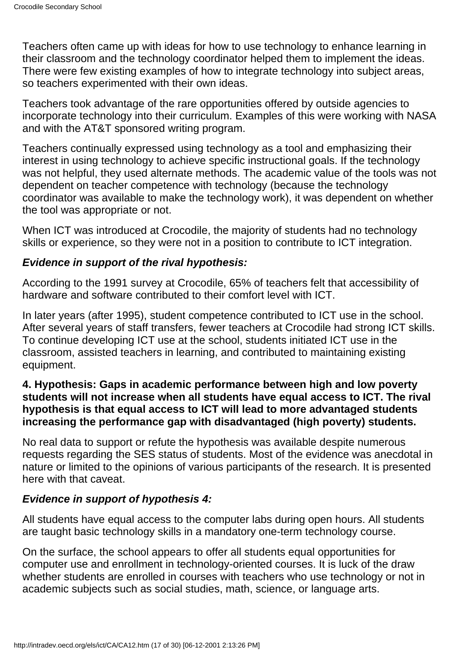Teachers often came up with ideas for how to use technology to enhance learning in their classroom and the technology coordinator helped them to implement the ideas. There were few existing examples of how to integrate technology into subject areas, so teachers experimented with their own ideas.

Teachers took advantage of the rare opportunities offered by outside agencies to incorporate technology into their curriculum. Examples of this were working with NASA and with the AT&T sponsored writing program.

Teachers continually expressed using technology as a tool and emphasizing their interest in using technology to achieve specific instructional goals. If the technology was not helpful, they used alternate methods. The academic value of the tools was not dependent on teacher competence with technology (because the technology coordinator was available to make the technology work), it was dependent on whether the tool was appropriate or not.

When ICT was introduced at Crocodile, the majority of students had no technology skills or experience, so they were not in a position to contribute to ICT integration.

## *Evidence in support of the rival hypothesis:*

According to the 1991 survey at Crocodile, 65% of teachers felt that accessibility of hardware and software contributed to their comfort level with ICT.

In later years (after 1995), student competence contributed to ICT use in the school. After several years of staff transfers, fewer teachers at Crocodile had strong ICT skills. To continue developing ICT use at the school, students initiated ICT use in the classroom, assisted teachers in learning, and contributed to maintaining existing equipment.

#### **4. Hypothesis: Gaps in academic performance between high and low poverty students will not increase when all students have equal access to ICT. The rival hypothesis is that equal access to ICT will lead to more advantaged students increasing the performance gap with disadvantaged (high poverty) students.**

No real data to support or refute the hypothesis was available despite numerous requests regarding the SES status of students. Most of the evidence was anecdotal in nature or limited to the opinions of various participants of the research. It is presented here with that caveat.

## *Evidence in support of hypothesis 4:*

All students have equal access to the computer labs during open hours. All students are taught basic technology skills in a mandatory one-term technology course.

On the surface, the school appears to offer all students equal opportunities for computer use and enrollment in technology-oriented courses. It is luck of the draw whether students are enrolled in courses with teachers who use technology or not in academic subjects such as social studies, math, science, or language arts.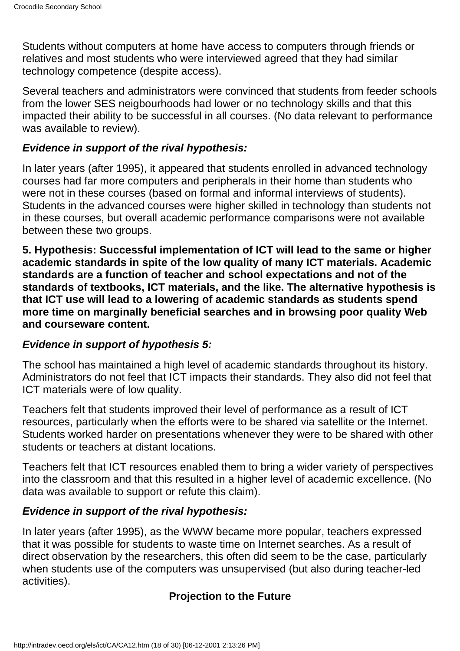Students without computers at home have access to computers through friends or relatives and most students who were interviewed agreed that they had similar technology competence (despite access).

Several teachers and administrators were convinced that students from feeder schools from the lower SES neigbourhoods had lower or no technology skills and that this impacted their ability to be successful in all courses. (No data relevant to performance was available to review).

## *Evidence in support of the rival hypothesis:*

In later years (after 1995), it appeared that students enrolled in advanced technology courses had far more computers and peripherals in their home than students who were not in these courses (based on formal and informal interviews of students). Students in the advanced courses were higher skilled in technology than students not in these courses, but overall academic performance comparisons were not available between these two groups.

**5. Hypothesis: Successful implementation of ICT will lead to the same or higher academic standards in spite of the low quality of many ICT materials. Academic standards are a function of teacher and school expectations and not of the standards of textbooks, ICT materials, and the like. The alternative hypothesis is that ICT use will lead to a lowering of academic standards as students spend more time on marginally beneficial searches and in browsing poor quality Web and courseware content.**

#### *Evidence in support of hypothesis 5:*

The school has maintained a high level of academic standards throughout its history. Administrators do not feel that ICT impacts their standards. They also did not feel that ICT materials were of low quality.

Teachers felt that students improved their level of performance as a result of ICT resources, particularly when the efforts were to be shared via satellite or the Internet. Students worked harder on presentations whenever they were to be shared with other students or teachers at distant locations.

Teachers felt that ICT resources enabled them to bring a wider variety of perspectives into the classroom and that this resulted in a higher level of academic excellence. (No data was available to support or refute this claim).

## *Evidence in support of the rival hypothesis:*

In later years (after 1995), as the WWW became more popular, teachers expressed that it was possible for students to waste time on Internet searches. As a result of direct observation by the researchers, this often did seem to be the case, particularly when students use of the computers was unsupervised (but also during teacher-led activities).

# **Projection to the Future**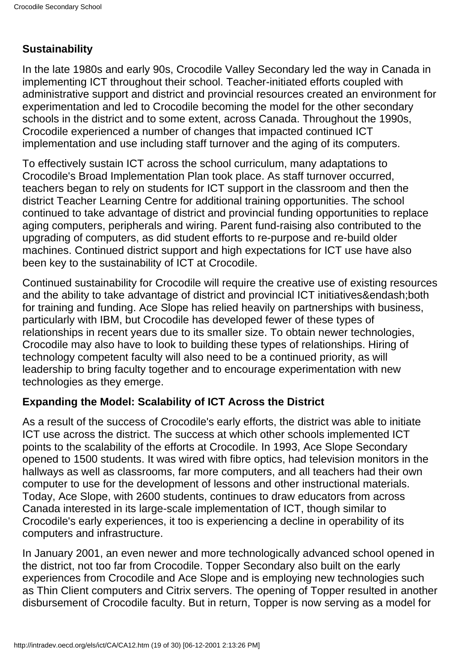# **Sustainability**

In the late 1980s and early 90s, Crocodile Valley Secondary led the way in Canada in implementing ICT throughout their school. Teacher-initiated efforts coupled with administrative support and district and provincial resources created an environment for experimentation and led to Crocodile becoming the model for the other secondary schools in the district and to some extent, across Canada. Throughout the 1990s, Crocodile experienced a number of changes that impacted continued ICT implementation and use including staff turnover and the aging of its computers.

To effectively sustain ICT across the school curriculum, many adaptations to Crocodile's Broad Implementation Plan took place. As staff turnover occurred, teachers began to rely on students for ICT support in the classroom and then the district Teacher Learning Centre for additional training opportunities. The school continued to take advantage of district and provincial funding opportunities to replace aging computers, peripherals and wiring. Parent fund-raising also contributed to the upgrading of computers, as did student efforts to re-purpose and re-build older machines. Continued district support and high expectations for ICT use have also been key to the sustainability of ICT at Crocodile.

Continued sustainability for Crocodile will require the creative use of existing resources and the ability to take advantage of district and provincial ICT initiatives&endash;both for training and funding. Ace Slope has relied heavily on partnerships with business, particularly with IBM, but Crocodile has developed fewer of these types of relationships in recent years due to its smaller size. To obtain newer technologies, Crocodile may also have to look to building these types of relationships. Hiring of technology competent faculty will also need to be a continued priority, as will leadership to bring faculty together and to encourage experimentation with new technologies as they emerge.

# **Expanding the Model: Scalability of ICT Across the District**

As a result of the success of Crocodile's early efforts, the district was able to initiate ICT use across the district. The success at which other schools implemented ICT points to the scalability of the efforts at Crocodile. In 1993, Ace Slope Secondary opened to 1500 students. It was wired with fibre optics, had television monitors in the hallways as well as classrooms, far more computers, and all teachers had their own computer to use for the development of lessons and other instructional materials. Today, Ace Slope, with 2600 students, continues to draw educators from across Canada interested in its large-scale implementation of ICT, though similar to Crocodile's early experiences, it too is experiencing a decline in operability of its computers and infrastructure.

In January 2001, an even newer and more technologically advanced school opened in the district, not too far from Crocodile. Topper Secondary also built on the early experiences from Crocodile and Ace Slope and is employing new technologies such as Thin Client computers and Citrix servers. The opening of Topper resulted in another disbursement of Crocodile faculty. But in return, Topper is now serving as a model for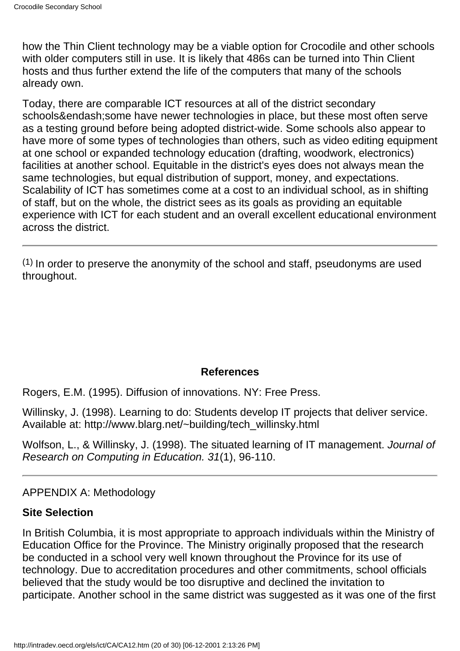how the Thin Client technology may be a viable option for Crocodile and other schools with older computers still in use. It is likely that 486s can be turned into Thin Client hosts and thus further extend the life of the computers that many of the schools already own.

Today, there are comparable ICT resources at all of the district secondary schools&endash;some have newer technologies in place, but these most often serve as a testing ground before being adopted district-wide. Some schools also appear to have more of some types of technologies than others, such as video editing equipment at one school or expanded technology education (drafting, woodwork, electronics) facilities at another school. Equitable in the district's eyes does not always mean the same technologies, but equal distribution of support, money, and expectations. Scalability of ICT has sometimes come at a cost to an individual school, as in shifting of staff, but on the whole, the district sees as its goals as providing an equitable experience with ICT for each student and an overall excellent educational environment across the district.

(1) In order to preserve the anonymity of the school and staff, pseudonyms are used throughout.

#### **References**

Rogers, E.M. (1995). Diffusion of innovations. NY: Free Press.

Willinsky, J. (1998). Learning to do: Students develop IT projects that deliver service. Available at: http://www.blarg.net/~building/tech\_willinsky.html

Wolfson, L., & Willinsky, J. (1998). The situated learning of IT management. *Journal of Research on Computing in Education. 31*(1), 96-110.

APPENDIX A: Methodology

#### **Site Selection**

In British Columbia, it is most appropriate to approach individuals within the Ministry of Education Office for the Province. The Ministry originally proposed that the research be conducted in a school very well known throughout the Province for its use of technology. Due to accreditation procedures and other commitments, school officials believed that the study would be too disruptive and declined the invitation to participate. Another school in the same district was suggested as it was one of the first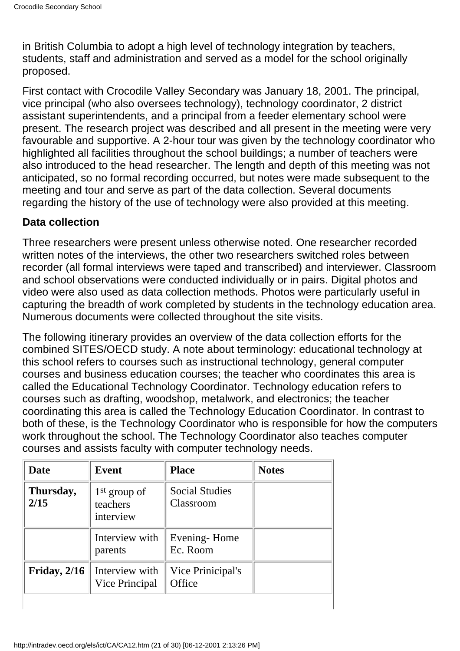in British Columbia to adopt a high level of technology integration by teachers, students, staff and administration and served as a model for the school originally proposed.

First contact with Crocodile Valley Secondary was January 18, 2001. The principal, vice principal (who also oversees technology), technology coordinator, 2 district assistant superintendents, and a principal from a feeder elementary school were present. The research project was described and all present in the meeting were very favourable and supportive. A 2-hour tour was given by the technology coordinator who highlighted all facilities throughout the school buildings; a number of teachers were also introduced to the head researcher. The length and depth of this meeting was not anticipated, so no formal recording occurred, but notes were made subsequent to the meeting and tour and serve as part of the data collection. Several documents regarding the history of the use of technology were also provided at this meeting.

#### **Data collection**

Three researchers were present unless otherwise noted. One researcher recorded written notes of the interviews, the other two researchers switched roles between recorder (all formal interviews were taped and transcribed) and interviewer. Classroom and school observations were conducted individually or in pairs. Digital photos and video were also used as data collection methods. Photos were particularly useful in capturing the breadth of work completed by students in the technology education area. Numerous documents were collected throughout the site visits.

The following itinerary provides an overview of the data collection efforts for the combined SITES/OECD study. A note about terminology: educational technology at this school refers to courses such as instructional technology, general computer courses and business education courses; the teacher who coordinates this area is called the Educational Technology Coordinator. Technology education refers to courses such as drafting, woodshop, metalwork, and electronics; the teacher coordinating this area is called the Technology Education Coordinator. In contrast to both of these, is the Technology Coordinator who is responsible for how the computers work throughout the school. The Technology Coordinator also teaches computer courses and assists faculty with computer technology needs.

| <b>Date</b>       | Event                                   | <b>Place</b>                       | <b>Notes</b> |
|-------------------|-----------------------------------------|------------------------------------|--------------|
| Thursday,<br>2/15 | $1st$ group of<br>teachers<br>interview | <b>Social Studies</b><br>Classroom |              |
|                   | Interview with<br>parents               | Evening-Home<br>Ec. Room           |              |
| Friday, $2/16$    | Interview with<br>Vice Principal        | Vice Prinicipal's<br>Office        |              |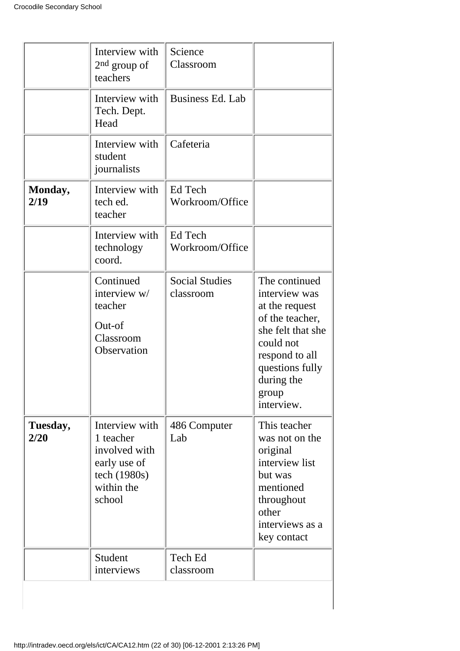| Interview with<br>$2nd$ group of<br>teachers                                                         | Science<br>Classroom               |                                                                                                                                                                                 |
|------------------------------------------------------------------------------------------------------|------------------------------------|---------------------------------------------------------------------------------------------------------------------------------------------------------------------------------|
| Interview with<br>Tech. Dept.<br>Head                                                                | Business Ed. Lab                   |                                                                                                                                                                                 |
| Interview with<br>student<br>journalists                                                             | Cafeteria                          |                                                                                                                                                                                 |
| Interview with<br>tech ed.<br>teacher                                                                | Ed Tech<br>Workroom/Office         |                                                                                                                                                                                 |
| Interview with<br>technology<br>coord.                                                               | Ed Tech<br>Workroom/Office         |                                                                                                                                                                                 |
| Continued<br>interview w/<br>teacher<br>Out-of<br>Classroom<br>Observation                           | <b>Social Studies</b><br>classroom | The continued<br>interview was<br>at the request<br>of the teacher,<br>she felt that she<br>could not<br>respond to all<br>questions fully<br>during the<br>group<br>interview. |
| Interview with<br>1 teacher<br>involved with<br>early use of<br>tech (1980s)<br>within the<br>school | 486 Computer<br>Lab                | This teacher<br>was not on the<br>original<br>interview list<br>but was<br>mentioned<br>throughout<br>other<br>interviews as a<br>key contact                                   |
| Student<br>interviews                                                                                | Tech Ed<br>classroom               |                                                                                                                                                                                 |
|                                                                                                      |                                    |                                                                                                                                                                                 |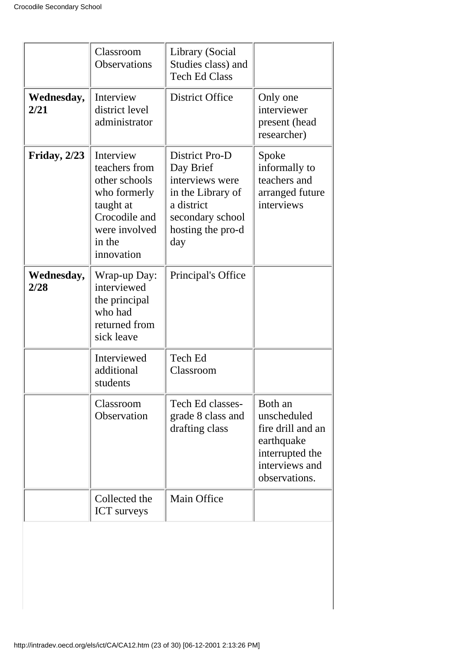|                      | Classroom<br><b>Observations</b>                                                                                                   | Library (Social<br>Studies class) and<br><b>Tech Ed Class</b>                                                                     |                                                                                                                 |
|----------------------|------------------------------------------------------------------------------------------------------------------------------------|-----------------------------------------------------------------------------------------------------------------------------------|-----------------------------------------------------------------------------------------------------------------|
| Wednesday,<br>2/21   | Interview<br>district level<br>administrator                                                                                       | <b>District Office</b>                                                                                                            | Only one<br>interviewer<br>present (head<br>researcher)                                                         |
| <b>Friday</b> , 2/23 | Interview<br>teachers from<br>other schools<br>who formerly<br>taught at<br>Crocodile and<br>were involved<br>in the<br>innovation | District Pro-D<br>Day Brief<br>interviews were<br>in the Library of<br>a district<br>secondary school<br>hosting the pro-d<br>day | Spoke<br>informally to<br>teachers and<br>arranged future<br>interviews                                         |
| Wednesday,<br>2/28   | Wrap-up Day:<br>interviewed<br>the principal<br>who had<br>returned from<br>sick leave                                             | Principal's Office                                                                                                                |                                                                                                                 |
|                      | Interviewed<br>additional<br>students                                                                                              | <b>Tech Ed</b><br>Classroom                                                                                                       |                                                                                                                 |
|                      | Classroom<br>Observation                                                                                                           | Tech Ed classes-<br>grade 8 class and<br>drafting class                                                                           | Both an<br>unscheduled<br>fire drill and an<br>earthquake<br>interrupted the<br>interviews and<br>observations. |
|                      | Collected the<br><b>ICT</b> surveys                                                                                                | Main Office                                                                                                                       |                                                                                                                 |
|                      |                                                                                                                                    |                                                                                                                                   |                                                                                                                 |

 $\overline{\phantom{a}}$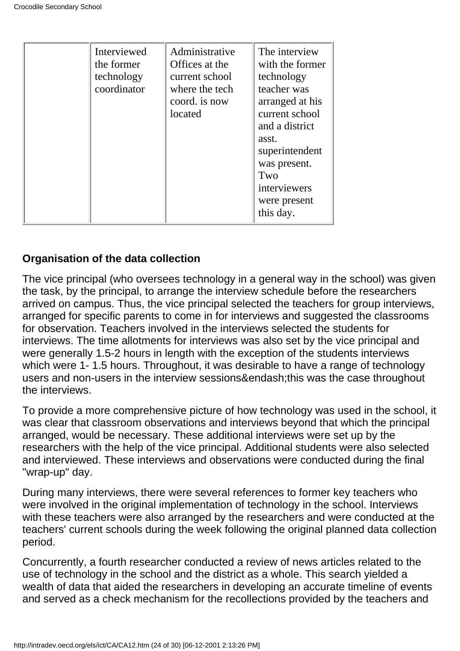| Interviewed<br>the former<br>technology<br>coordinator | Administrative<br>Offices at the<br>current school<br>where the tech<br>coord. is now<br>located | The interview<br>with the former<br>technology<br>teacher was<br>arranged at his<br>current school<br>and a district<br>asst.<br>superintendent<br>was present.<br>Two<br>interviewers<br>were present<br>this day. |
|--------------------------------------------------------|--------------------------------------------------------------------------------------------------|---------------------------------------------------------------------------------------------------------------------------------------------------------------------------------------------------------------------|
|--------------------------------------------------------|--------------------------------------------------------------------------------------------------|---------------------------------------------------------------------------------------------------------------------------------------------------------------------------------------------------------------------|

# **Organisation of the data collection**

The vice principal (who oversees technology in a general way in the school) was given the task, by the principal, to arrange the interview schedule before the researchers arrived on campus. Thus, the vice principal selected the teachers for group interviews, arranged for specific parents to come in for interviews and suggested the classrooms for observation. Teachers involved in the interviews selected the students for interviews. The time allotments for interviews was also set by the vice principal and were generally 1.5-2 hours in length with the exception of the students interviews which were 1- 1.5 hours. Throughout, it was desirable to have a range of technology users and non-users in the interview sessions&endash;this was the case throughout the interviews.

To provide a more comprehensive picture of how technology was used in the school, it was clear that classroom observations and interviews beyond that which the principal arranged, would be necessary. These additional interviews were set up by the researchers with the help of the vice principal. Additional students were also selected and interviewed. These interviews and observations were conducted during the final "wrap-up" day.

During many interviews, there were several references to former key teachers who were involved in the original implementation of technology in the school. Interviews with these teachers were also arranged by the researchers and were conducted at the teachers' current schools during the week following the original planned data collection period.

Concurrently, a fourth researcher conducted a review of news articles related to the use of technology in the school and the district as a whole. This search yielded a wealth of data that aided the researchers in developing an accurate timeline of events and served as a check mechanism for the recollections provided by the teachers and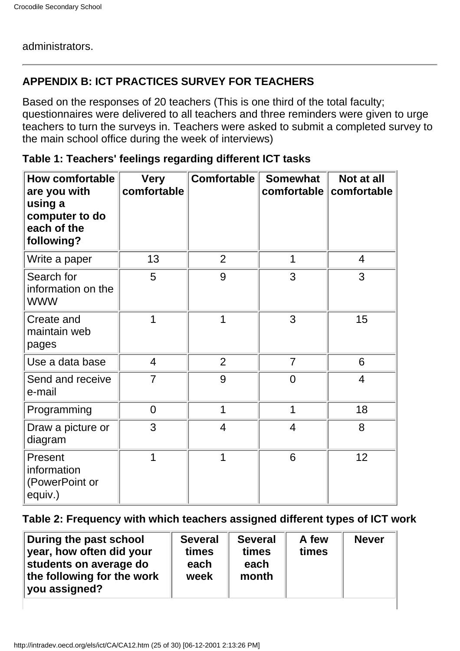#### administrators.

# **APPENDIX B: ICT PRACTICES SURVEY FOR TEACHERS**

Based on the responses of 20 teachers (This is one third of the total faculty; questionnaires were delivered to all teachers and three reminders were given to urge teachers to turn the surveys in. Teachers were asked to submit a completed survey to the main school office during the week of interviews)

| <b>How comfortable</b><br>are you with<br>using a<br>computer to do<br>each of the<br>following? | <b>Very</b><br>comfortable | <b>Comfortable</b> | <b>Somewhat</b><br>comfortable | Not at all<br>comfortable |
|--------------------------------------------------------------------------------------------------|----------------------------|--------------------|--------------------------------|---------------------------|
| Write a paper                                                                                    | 13                         | $\overline{2}$     | 1                              | $\overline{4}$            |
| Search for<br>information on the<br><b>WWW</b>                                                   | 5                          | 9                  | 3                              | 3                         |
| Create and<br>maintain web<br>pages                                                              | 1                          | 1                  | 3                              | 15                        |
| Use a data base                                                                                  | $\overline{4}$             | $\overline{2}$     | $\overline{7}$                 | 6                         |
| Send and receive<br>e-mail                                                                       | $\overline{7}$             | 9                  | $\overline{0}$                 | $\overline{4}$            |
| Programming                                                                                      | $\overline{0}$             | 1                  | 1                              | 18                        |
| Draw a picture or<br>diagram                                                                     | 3                          | $\overline{4}$     | 4                              | 8                         |
| Present<br>information<br>(PowerPoint or<br>equiv.)                                              | 1                          | 1                  | 6                              | 12                        |

| Table 1: Teachers' feelings regarding different ICT tasks |  |  |  |  |
|-----------------------------------------------------------|--|--|--|--|
|-----------------------------------------------------------|--|--|--|--|

# **Table 2: Frequency with which teachers assigned different types of ICT work**

| the following for the work<br>month<br>week<br>$\vert$ you assigned? |
|----------------------------------------------------------------------|
|----------------------------------------------------------------------|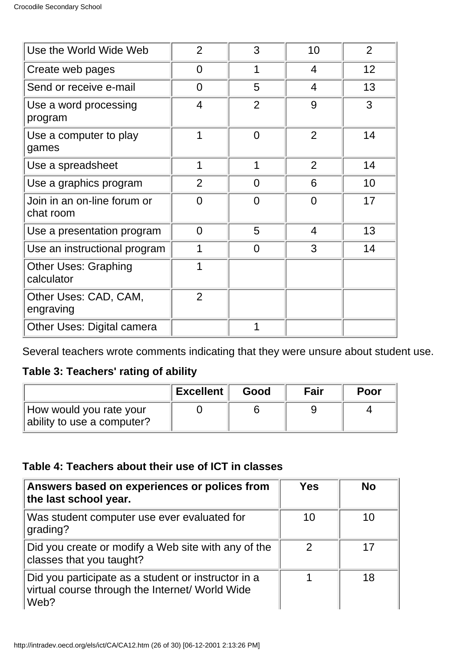| Use the World Wide Web                    | $\overline{2}$ | 3              | 10             | $\overline{2}$ |
|-------------------------------------------|----------------|----------------|----------------|----------------|
| Create web pages                          | $\overline{0}$ | 1              | $\overline{4}$ | 12             |
| Send or receive e-mail                    | $\overline{0}$ | 5              | 4              | 13             |
| Use a word processing<br>program          | 4              | $\overline{2}$ | 9              | 3              |
| Use a computer to play<br>games           | 1              | $\overline{0}$ | $\overline{2}$ | 14             |
| Use a spreadsheet                         | 1              | 1              | $\overline{2}$ | 14             |
| Use a graphics program                    | $\overline{2}$ | $\overline{0}$ | 6              | 10             |
| Join in an on-line forum or<br>chat room  | $\overline{0}$ | $\overline{0}$ | $\overline{0}$ | 17             |
| Use a presentation program                | $\overline{0}$ | 5              | 4              | 13             |
| Use an instructional program              | 1              | $\overline{0}$ | 3              | 14             |
| <b>Other Uses: Graphing</b><br>calculator | 1              |                |                |                |
| Other Uses: CAD, CAM,<br>engraving        | $\overline{2}$ |                |                |                |
| Other Uses: Digital camera                |                | 1              |                |                |

Several teachers wrote comments indicating that they were unsure about student use.

# **Table 3: Teachers' rating of ability**

|                                                       | <b>Excellent</b> | Good | <b>Fair</b> | Poor |
|-------------------------------------------------------|------------------|------|-------------|------|
| How would you rate your<br>ability to use a computer? |                  |      |             |      |

# **Table 4: Teachers about their use of ICT in classes**

| Answers based on experiences or polices from<br>the last school year.                                          | <b>Yes</b> | <b>No</b> |
|----------------------------------------------------------------------------------------------------------------|------------|-----------|
| Was student computer use ever evaluated for<br>grading?                                                        | 10         | 10        |
| Did you create or modify a Web site with any of the<br>classes that you taught?                                | 2          | 17        |
| Did you participate as a student or instructor in a<br>virtual course through the Internet/ World Wide<br>Web? |            | 18        |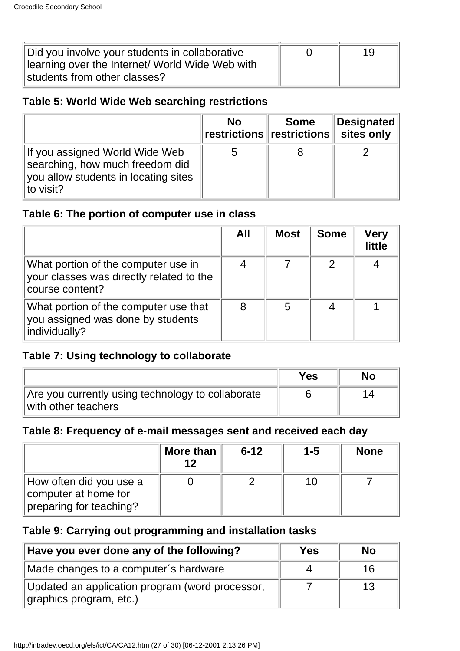| Did you involve your students in collaborative  | 19. |
|-------------------------------------------------|-----|
| learning over the Internet/ World Wide Web with |     |
| students from other classes?                    |     |

## **Table 5: World Wide Web searching restrictions**

|                                                                                                                        | <b>No</b> | <b>Some</b><br>restrictions restrictions | <b>Designated</b><br>sites only |
|------------------------------------------------------------------------------------------------------------------------|-----------|------------------------------------------|---------------------------------|
| If you assigned World Wide Web<br>searching, how much freedom did<br>you allow students in locating sites<br>to visit? | 5         |                                          |                                 |

# **Table 6: The portion of computer use in class**

|                                                                                                    | All | <b>Most</b> | <b>Some</b> | Very<br>little |
|----------------------------------------------------------------------------------------------------|-----|-------------|-------------|----------------|
| What portion of the computer use in<br>your classes was directly related to the<br>course content? |     |             |             |                |
| What portion of the computer use that<br>you assigned was done by students<br>individually?        | 8   | 5           |             |                |

# **Table 7: Using technology to collaborate**

|                                                                          | <b>Yes</b> | <b>No</b> |
|--------------------------------------------------------------------------|------------|-----------|
| Are you currently using technology to collaborate<br>with other teachers |            | 14        |

# **Table 8: Frequency of e-mail messages sent and received each day**

|                                                                            | More than<br>12 | $6 - 12$ | $1 - 5$ | <b>None</b> |
|----------------------------------------------------------------------------|-----------------|----------|---------|-------------|
| How often did you use a<br>computer at home for<br>preparing for teaching? |                 |          |         |             |

## **Table 9: Carrying out programming and installation tasks**

| Have you ever done any of the following?                                   | <b>Yes</b> | <b>No</b> |
|----------------------------------------------------------------------------|------------|-----------|
| Made changes to a computer's hardware                                      |            | 16        |
| Updated an application program (word processor,<br>graphics program, etc.) |            | 13        |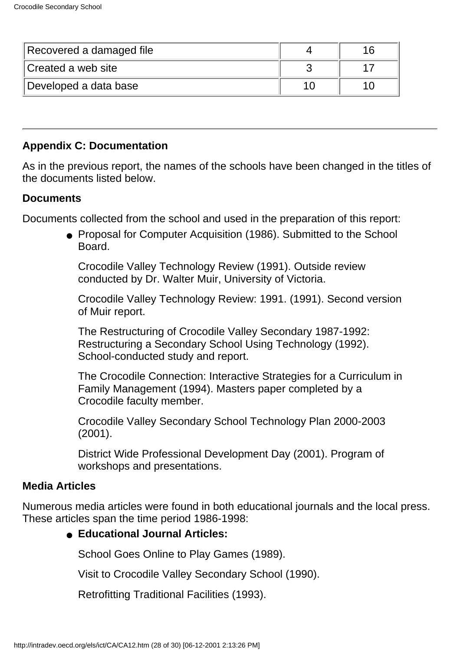| Recovered a damaged file |    | 16 |
|--------------------------|----|----|
| Created a web site       |    |    |
| Developed a data base    | 10 | 10 |

#### **Appendix C: Documentation**

As in the previous report, the names of the schools have been changed in the titles of the documents listed below.

#### **Documents**

Documents collected from the school and used in the preparation of this report:

● Proposal for Computer Acquisition (1986). Submitted to the School Board.

Crocodile Valley Technology Review (1991). Outside review conducted by Dr. Walter Muir, University of Victoria.

Crocodile Valley Technology Review: 1991. (1991). Second version of Muir report.

The Restructuring of Crocodile Valley Secondary 1987-1992: Restructuring a Secondary School Using Technology (1992). School-conducted study and report.

The Crocodile Connection: Interactive Strategies for a Curriculum in Family Management (1994). Masters paper completed by a Crocodile faculty member.

Crocodile Valley Secondary School Technology Plan 2000-2003 (2001).

District Wide Professional Development Day (2001). Program of workshops and presentations.

#### **Media Articles**

Numerous media articles were found in both educational journals and the local press. These articles span the time period 1986-1998:

#### **Educational Journal Articles:** ●

School Goes Online to Play Games (1989).

Visit to Crocodile Valley Secondary School (1990).

Retrofitting Traditional Facilities (1993).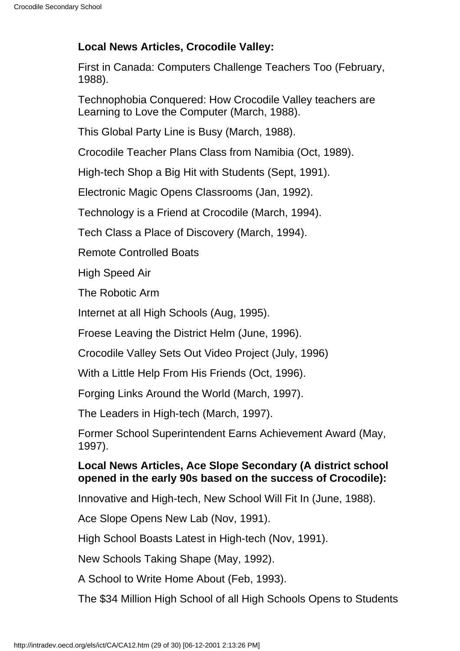## **Local News Articles, Crocodile Valley:**

First in Canada: Computers Challenge Teachers Too (February, 1988).

Technophobia Conquered: How Crocodile Valley teachers are Learning to Love the Computer (March, 1988).

This Global Party Line is Busy (March, 1988).

Crocodile Teacher Plans Class from Namibia (Oct, 1989).

High-tech Shop a Big Hit with Students (Sept, 1991).

Electronic Magic Opens Classrooms (Jan, 1992).

Technology is a Friend at Crocodile (March, 1994).

Tech Class a Place of Discovery (March, 1994).

Remote Controlled Boats

High Speed Air

The Robotic Arm

Internet at all High Schools (Aug, 1995).

Froese Leaving the District Helm (June, 1996).

Crocodile Valley Sets Out Video Project (July, 1996)

With a Little Help From His Friends (Oct, 1996).

Forging Links Around the World (March, 1997).

The Leaders in High-tech (March, 1997).

Former School Superintendent Earns Achievement Award (May, 1997).

#### **Local News Articles, Ace Slope Secondary (A district school opened in the early 90s based on the success of Crocodile):**

Innovative and High-tech, New School Will Fit In (June, 1988).

Ace Slope Opens New Lab (Nov, 1991).

High School Boasts Latest in High-tech (Nov, 1991).

New Schools Taking Shape (May, 1992).

A School to Write Home About (Feb, 1993).

The \$34 Million High School of all High Schools Opens to Students